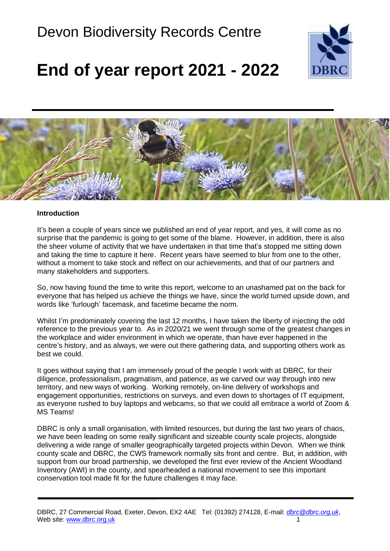### Devon Biodiversity Records Centre



### **End of year report 2021 - 2022**



#### **Introduction**

It's been a couple of years since we published an end of year report, and yes, it will come as no surprise that the pandemic is going to get some of the blame. However, in addition, there is also the sheer volume of activity that we have undertaken in that time that's stopped me sitting down and taking the time to capture it here. Recent years have seemed to blur from one to the other, without a moment to take stock and reflect on our achievements, and that of our partners and many stakeholders and supporters.

So, now having found the time to write this report, welcome to an unashamed pat on the back for everyone that has helped us achieve the things we have, since the world turned upside down, and words like 'furlough' facemask, and facetime became the norm.

Whilst I'm predominately covering the last 12 months, I have taken the liberty of injecting the odd reference to the previous year to. As in 2020/21 we went through some of the greatest changes in the workplace and wider environment in which we operate, than have ever happened in the centre's history, and as always, we were out there gathering data, and supporting others work as best we could.

It goes without saying that I am immensely proud of the people I work with at DBRC, for their diligence, professionalism, pragmatism, and patience, as we carved our way through into new territory, and new ways of working. Working remotely, on-line delivery of workshops and engagement opportunities, restrictions on surveys, and even down to shortages of IT equipment, as everyone rushed to buy laptops and webcams, so that we could all embrace a world of Zoom & MS Teams!

DBRC is only a small organisation, with limited resources, but during the last two years of chaos, we have been leading on some really significant and sizeable county scale projects, alongside delivering a wide range of smaller geographically targeted projects within Devon. When we think county scale and DBRC, the CWS framework normally sits front and centre. But, in addition, with support from our broad partnership, we developed the first ever review of the Ancient Woodland Inventory (AWI) in the county, and spearheaded a national movement to see this important conservation tool made fit for the future challenges it may face.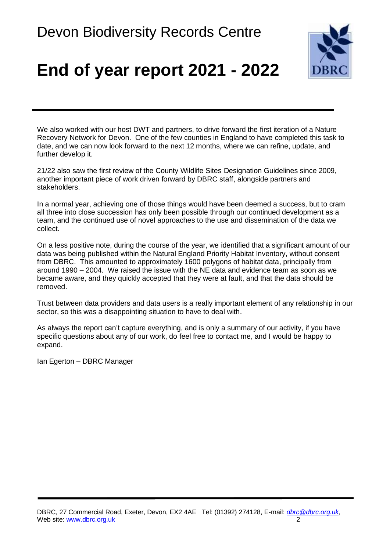

We also worked with our host DWT and partners, to drive forward the first iteration of a Nature Recovery Network for Devon. One of the few counties in England to have completed this task to date, and we can now look forward to the next 12 months, where we can refine, update, and further develop it.

21/22 also saw the first review of the County Wildlife Sites Designation Guidelines since 2009, another important piece of work driven forward by DBRC staff, alongside partners and stakeholders.

In a normal year, achieving one of those things would have been deemed a success, but to cram all three into close succession has only been possible through our continued development as a team, and the continued use of novel approaches to the use and dissemination of the data we collect.

On a less positive note, during the course of the year, we identified that a significant amount of our data was being published within the Natural England Priority Habitat Inventory, without consent from DBRC. This amounted to approximately 1600 polygons of habitat data, principally from around 1990 – 2004. We raised the issue with the NE data and evidence team as soon as we became aware, and they quickly accepted that they were at fault, and that the data should be removed.

Trust between data providers and data users is a really important element of any relationship in our sector, so this was a disappointing situation to have to deal with.

As always the report can't capture everything, and is only a summary of our activity, if you have specific questions about any of our work, do feel free to contact me, and I would be happy to expand.

Ian Egerton – DBRC Manager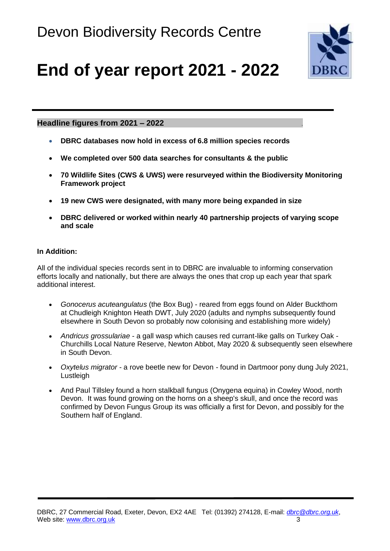

#### **Headline figures from 2021 – 2022** .

- **DBRC databases now hold in excess of 6.8 million species records**
- **We completed over 500 data searches for consultants & the public**
- **70 Wildlife Sites (CWS & UWS) were resurveyed within the Biodiversity Monitoring Framework project**
- **19 new CWS were designated, with many more being expanded in size**
- **DBRC delivered or worked within nearly 40 partnership projects of varying scope and scale**

#### **In Addition:**

All of the individual species records sent in to DBRC are invaluable to informing conservation efforts locally and nationally, but there are always the ones that crop up each year that spark additional interest.

- *Gonocerus acuteangulatus* (the Box Bug) reared from eggs found on Alder Buckthorn at Chudleigh Knighton Heath DWT, July 2020 (adults and nymphs subsequently found elsewhere in South Devon so probably now colonising and establishing more widely)
- *Andricus grossulariae* a gall wasp which causes red currant-like galls on Turkey Oak Churchills Local Nature Reserve, Newton Abbot, May 2020 & subsequently seen elsewhere in South Devon.
- *Oxytelus migrator* a rove beetle new for Devon found in Dartmoor pony dung July 2021, **Lustleigh**
- And Paul Tillsley found a horn stalkball fungus (Onygena equina) in Cowley Wood, north Devon. It was found growing on the horns on a sheep's skull, and once the record was confirmed by Devon Fungus Group its was officially a first for Devon, and possibly for the Southern half of England.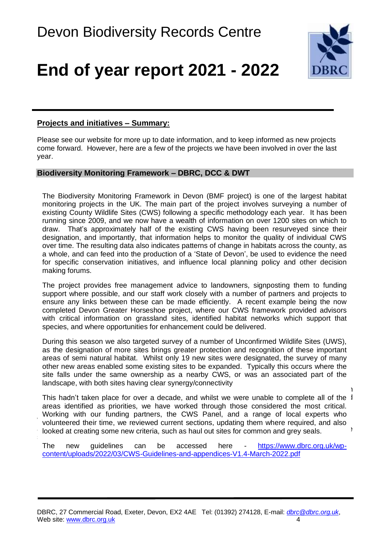

#### **Projects and initiatives – Summary:**

Please see our website for more up to date information, and to keep informed as new projects come forward. However, here are a few of the projects we have been involved in over the last year.

#### **Biodiversity Monitoring Framework – DBRC, DCC & DWT**

The Biodiversity Monitoring Framework in Devon (BMF project) is one of the largest habitat monitoring projects in the UK. The main part of the project involves surveying a number of existing County Wildlife Sites (CWS) following a specific methodology each year. It has been running since 2009, and we now have a wealth of information on over 1200 sites on which to draw. That's approximately half of the existing CWS having been resurveyed since their designation, and importantly, that information helps to monitor the quality of individual CWS over time. The resulting data also indicates patterns of change in habitats across the county, as a whole, and can feed into the production of a 'State of Devon', be used to evidence the need for specific conservation initiatives, and influence local planning policy and other decision making forums.

The project provides free management advice to landowners, signposting them to funding support where possible, and our staff work closely with a number of partners and projects to ensure any links between these can be made efficiently. A recent example being the now completed Devon Greater Horseshoe project, where our CWS framework provided advisors with critical information on grassland sites, identified habitat networks which support that species, and where opportunities for enhancement could be delivered.

In addition to the survey work this year, we also took this year, we also took time the 'Devondensively review  $\mathbf{I}$ During this season we also targeted survey of a number of Unconfirmed Wildlife Sites (UWS), as the designation of more sites brings greater protection and recognition of these important areas of semi natural habitat. Whilst only 19 new sites were designated, the survey of many other new areas enabled some existing sites to be expanded. Typically this occurs where the site falls under the same ownership as a nearby CWS, or was an associated part of the landscape, with both sites having clear synergy/connectivity

This hadn't taken place for over a decade, and whilst we were unable to complete all of the 1 areas identified as priorities, we have worked through those considered the most critical. volunteered their time, we reviewed current sections, updating them where required, and also looked at creating some new criteria, such as haul out sites for common and grey seals. sites, which may come under increasing threat as the marine environment comes under greater Working with our funding partners, the CWS Panel, and a range of local experts who

The new guidelines can be accessed here [https://www.dbrc.org.uk/wp](https://www.dbrc.org.uk/wp-content/uploads/2022/03/CWS-Guidelines-and-appendices-V1.4-March-2022.pdf)[content/uploads/2022/03/CWS-Guidelines-and-appendices-V1.4-March-2022.pdf](https://www.dbrc.org.uk/wp-content/uploads/2022/03/CWS-Guidelines-and-appendices-V1.4-March-2022.pdf)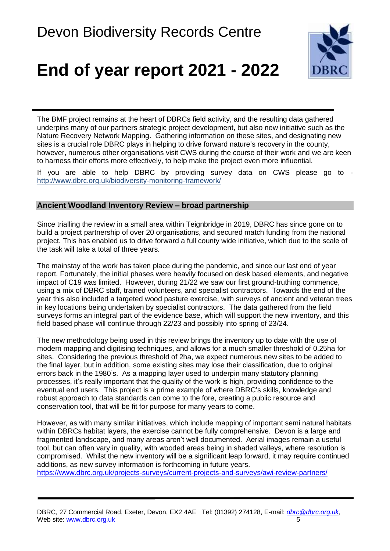

The BMF project remains at the heart of DBRCs field activity, and the resulting data gathered underpins many of our partners strategic project development, but also new initiative such as the Nature Recovery Network Mapping. Gathering information on these sites, and designating new sites is a crucial role DBRC plays in helping to drive forward nature's recovery in the county, however, numerous other organisations visit CWS during the course of their work and we are keen to harness their efforts more effectively, to help make the project even more influential.

If you are able to help DBRC by providing survey data on CWS please go to <http://www.dbrc.org.uk/biodiversity-monitoring-framework/>

#### **Ancient Woodland Inventory Review – broad partnership**

Since trialling the review in a small area within Teignbridge in 2019, DBRC has since gone on to build a project partnership of over 20 organisations, and secured match funding from the national project. This has enabled us to drive forward a full county wide initiative, which due to the scale of the task will take a total of three years.

The mainstay of the work has taken place during the pandemic, and since our last end of year report. Fortunately, the initial phases were heavily focused on desk based elements, and negative impact of C19 was limited. However, during 21/22 we saw our first ground-truthing commence, using a mix of DBRC staff, trained volunteers, and specialist contractors. Towards the end of the year this also included a targeted wood pasture exercise, with surveys of ancient and veteran trees in key locations being undertaken by specialist contractors. The data gathered from the field surveys forms an integral part of the evidence base, which will support the new inventory, and this field based phase will continue through 22/23 and possibly into spring of 23/24.

The new methodology being used in this review brings the inventory up to date with the use of modern mapping and digitising techniques, and allows for a much smaller threshold of 0.25ha for sites. Considering the previous threshold of 2ha, we expect numerous new sites to be added to the final layer, but in addition, some existing sites may lose their classification, due to original errors back in the 1980's. As a mapping layer used to underpin many statutory planning processes, it's really important that the quality of the work is high, providing confidence to the eventual end users. This project is a prime example of where DBRC's skills, knowledge and robust approach to data standards can come to the fore, creating a public resource and conservation tool, that will be fit for purpose for many years to come.

However, as with many similar initiatives, which include mapping of important semi natural habitats within DBRCs habitat layers, the exercise cannot be fully comprehensive. Devon is a large and fragmented landscape, and many areas aren't well documented. Aerial images remain a useful tool, but can often vary in quality, with wooded areas being in shaded valleys, where resolution is compromised. Whilst the new inventory will be a significant leap forward, it may require continued additions, as new survey information is forthcoming in future years.

<https://www.dbrc.org.uk/projects-surveys/current-projects-and-surveys/awi-review-partners/>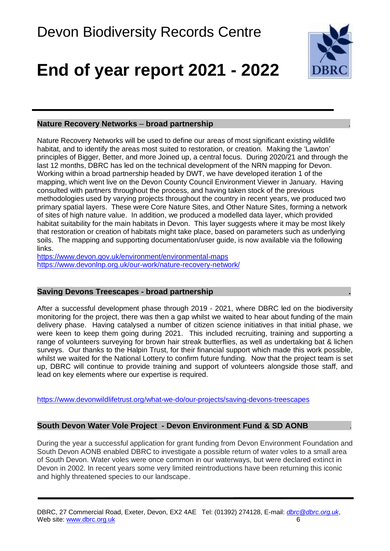

#### **Nature Recovery Networks** – **broad partnership .**

Nature Recovery Networks will be used to define our areas of most significant existing wildlife habitat, and to identify the areas most suited to restoration, or creation. Making the 'Lawton' principles of Bigger, Better, and more Joined up, a central focus. During 2020/21 and through the last 12 months, DBRC has led on the technical development of the NRN mapping for Devon. Working within a broad partnership headed by DWT, we have developed iteration 1 of the mapping, which went live on the Devon County Council Environment Viewer in January. Having consulted with partners throughout the process, and having taken stock of the previous methodologies used by varying projects throughout the country in recent years, we produced two primary spatial layers. These were Core Nature Sites, and Other Nature Sites, forming a network of sites of high nature value. In addition, we produced a modelled data layer, which provided habitat suitability for the main habitats in Devon. This layer suggests where it may be most likely that restoration or creation of habitats might take place, based on parameters such as underlying soils. The mapping and supporting documentation/user guide, is now available via the following links.

<https://www.devon.gov.uk/environment/environmental-maps> <https://www.devonlnp.org.uk/our-work/nature-recovery-network/>

#### **Saving Devons Treescapes - broad partnership .**

After a successful development phase through 2019 - 2021, where DBRC led on the biodiversity monitoring for the project, there was then a gap whilst we waited to hear about funding of the main delivery phase. Having catalysed a number of citizen science initiatives in that initial phase, we were keen to keep them going during 2021. This included recruiting, training and supporting a range of volunteers surveying for brown hair streak butterflies, as well as undertaking bat & lichen surveys. Our thanks to the Halpin Trust, for their financial support which made this work possible, whilst we waited for the National Lottery to confirm future funding. Now that the project team is set up, DBRC will continue to provide training and support of volunteers alongside those staff, and lead on key elements where our expertise is required.

<https://www.devonwildlifetrust.org/what-we-do/our-projects/saving-devons-treescapes>

#### **South Devon Water Vole Project - Devon Environment Fund & SD AONB .**

During the year a successful application for grant funding from Devon Environment Foundation and South Devon AONB enabled DBRC to investigate a possible return of water voles to a small area of South Devon. Water voles were once common in our waterways, but were declared extinct in Devon in 2002. In recent years some very limited reintroductions have been returning this iconic and highly threatened species to our landscape.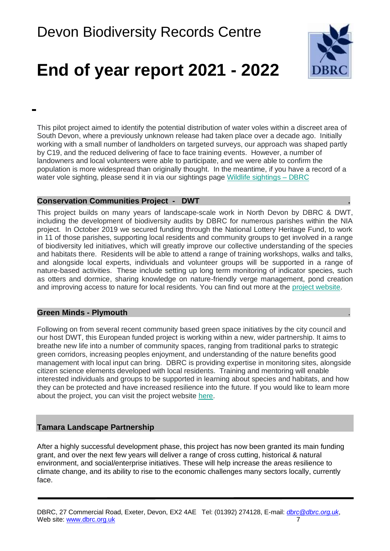

This pilot project aimed to identify the potential distribution of water voles within a discreet area of South Devon, where a previously unknown release had taken place over a decade ago. Initially working with a small number of landholders on targeted surveys, our approach was shaped partly by C19, and the reduced delivering of face to face training events. However, a number of landowners and local volunteers were able to participate, and we were able to confirm the population is more widespread than originally thought. In the meantime, if you have a record of a water vole sighting, please send it in via our sightings page [Wildlife sightings –](https://www.dbrc.org.uk/wildlife-sightings/) DBRC

#### **Conservation Communities Project - DWT .**

This project builds on many years of landscape-scale work in North Devon by DBRC & DWT, including the development of biodiversity audits by DBRC for numerous parishes within the NIA project. In October 2019 we secured funding through the National Lottery Heritage Fund, to work in 11 of those parishes, supporting local residents and community groups to get involved in a range of biodiversity led initiatives, which will greatly improve our collective understanding of the species and habitats there. Residents will be able to attend a range of training workshops, walks and talks, and alongside local experts, individuals and volunteer groups will be supported in a range of nature-based activities. These include setting up long term monitoring of indicator species, such as otters and dormice, sharing knowledge on nature-friendly verge management, pond creation and improving access to nature for local residents. You can find out more at the [project website.](https://www.devonwildlifetrust.org/what-we-doour-projects/conservation-communities-project)

#### **Green Minds - Plymouth** .

Following on from several recent community based green space initiatives by the city council and our host DWT, this European funded project is working within a new, wider partnership. It aims to breathe new life into a number of community spaces, ranging from traditional parks to strategic green corridors, increasing peoples enjoyment, and understanding of the nature benefits good management with local input can bring. DBRC is providing expertise in monitoring sites, alongside citizen science elements developed with local residents. Training and mentoring will enable interested individuals and groups to be supported in learning about species and habitats, and how they can be protected and have increased resilience into the future. If you would like to learn more about the project, you can visit the project website [here.](https://greenmindsplymouth.com/)

#### **Tamara Landscape Partnership**

After a highly successful development phase, this project has now been granted its main funding grant, and over the next few years will deliver a range of cross cutting, historical & natural environment, and social/enterprise initiatives. These will help increase the areas resilience to climate change, and its ability to rise to the economic challenges many sectors locally, currently face.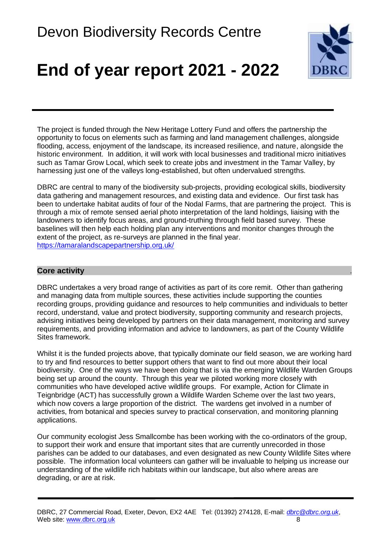

The project is funded through the New Heritage Lottery Fund and offers the partnership the opportunity to focus on elements such as farming and land management challenges, alongside flooding, access, enjoyment of the landscape, its increased resilience, and nature, alongside the historic environment. In addition, it will work with local businesses and traditional micro initiatives such as Tamar Grow Local, which seek to create jobs and investment in the Tamar Valley, by harnessing just one of the valleys long-established, but often undervalued strengths.

DBRC are central to many of the biodiversity sub-projects, providing ecological skills, biodiversity data gathering and management resources, and existing data and evidence. Our first task has been to undertake habitat audits of four of the Nodal Farms, that are partnering the project. This is through a mix of remote sensed aerial photo interpretation of the land holdings, liaising with the landowners to identify focus areas, and ground-truthing through field based survey. These baselines will then help each holding plan any interventions and monitor changes through the extent of the project, as re-surveys are planned in the final year. <https://tamaralandscapepartnership.org.uk/>

#### **Core activity** .

DBRC undertakes a very broad range of activities as part of its core remit. Other than gathering and managing data from multiple sources, these activities include supporting the counties recording groups, providing guidance and resources to help communities and individuals to better record, understand, value and protect biodiversity, supporting community and research projects, advising initiatives being developed by partners on their data management, monitoring and survey requirements, and providing information and advice to landowners, as part of the County Wildlife Sites framework.

Whilst it is the funded projects above, that typically dominate our field season, we are working hard to try and find resources to better support others that want to find out more about their local biodiversity. One of the ways we have been doing that is via the emerging Wildlife Warden Groups being set up around the county. Through this year we piloted working more closely with communities who have developed active wildlife groups. For example, Action for Climate in Teignbridge (ACT) has successfully grown a Wildlife Warden Scheme over the last two years, which now covers a large proportion of the district. The wardens get involved in a number of activities, from botanical and species survey to practical conservation, and monitoring planning applications.

Our community ecologist Jess Smallcombe has been working with the co-ordinators of the group, to support their work and ensure that important sites that are currently unrecorded in those parishes can be added to our databases, and even designated as new County Wildlife Sites where possible. The information local volunteers can gather will be invaluable to helping us increase our understanding of the wildlife rich habitats within our landscape, but also where areas are degrading, or are at risk.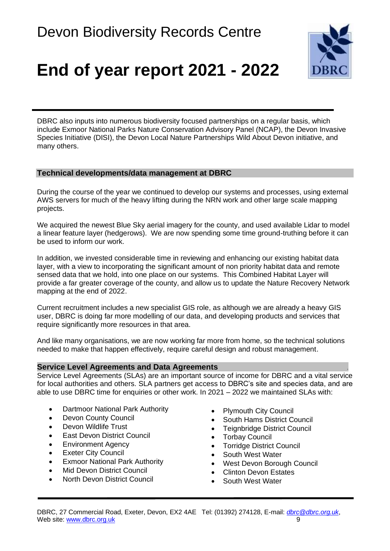

DBRC also inputs into numerous biodiversity focused partnerships on a regular basis, which include Exmoor National Parks Nature Conservation Advisory Panel (NCAP), the Devon Invasive Species Initiative (DISI), the Devon Local Nature Partnerships Wild About Devon initiative, and many others.

#### **Technical developments/data management at DBRC**

During the course of the year we continued to develop our systems and processes, using external AWS servers for much of the heavy lifting during the NRN work and other large scale mapping projects.

We acquired the newest Blue Sky aerial imagery for the county, and used available Lidar to model a linear feature layer (hedgerows). We are now spending some time ground-truthing before it can be used to inform our work.

In addition, we invested considerable time in reviewing and enhancing our existing habitat data layer, with a view to incorporating the significant amount of non priority habitat data and remote sensed data that we hold, into one place on our systems. This Combined Habitat Layer will provide a far greater coverage of the county, and allow us to update the Nature Recovery Network mapping at the end of 2022.

Current recruitment includes a new specialist GIS role, as although we are already a heavy GIS user, DBRC is doing far more modelling of our data, and developing products and services that require significantly more resources in that area.

And like many organisations, we are now working far more from home, so the technical solutions needed to make that happen effectively, require careful design and robust management.

#### **Service Level Agreements and Data Agreements** .

Service Level Agreements (SLAs) are an important source of income for DBRC and a vital service for local authorities and others. SLA partners get access to DBRC's site and species data, and are able to use DBRC time for enquiries or other work. In 2021 – 2022 we maintained SLAs with:

- Dartmoor National Park Authority
- Devon County Council
- Devon Wildlife Trust
- East Devon District Council
- Environment Agency
- Exeter City Council
- Exmoor National Park Authority
- Mid Devon District Council
- North Devon District Council
- Plymouth City Council
- South Hams District Council
- Teignbridge District Council
- Torbay Council
- Torridge District Council
- South West Water
- West Devon Borough Council
- Clinton Devon Estates
- South West Water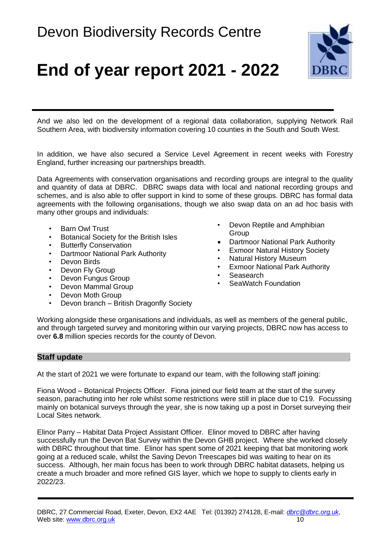

And we also led on the development of a regional data collaboration, supplying Network Rail Southern Area, with biodiversity information covering 10 counties in the South and South West.

In addition, we have also secured a Service Level Agreement in recent weeks with Forestry England, further increasing our partnerships breadth.

Data Agreements with conservation organisations and recording groups are integral to the quality and quantity of data at DBRC. DBRC swaps data with local and national recording groups and schemes, and is also able to offer support in kind to some of these groups. DBRC has formal data agreements with the following organisations, though we also swap data on an ad hoc basis with many other groups and individuals:

- Barn Owl Trust
- Botanical Society for the British Isles
- Butterfly Conservation
- Dartmoor National Park Authority
- Devon Birds
- Devon Fly Group
- Devon Fungus Group
- Devon Mammal Group
- Devon Moth Group
- Devon branch British Dragonfly Society
- Devon Reptile and Amphibian Group
- Dartmoor National Park Authority
- **Exmoor Natural History Society**
- Natural History Museum
- **Exmoor National Park Authority**
- Seasearch
- SeaWatch Foundation

Working alongside these organisations and individuals, as well as members of the general public, and through targeted survey and monitoring within our varying projects, DBRC now has access to over **6.8** million species records for the county of Devon.

#### **Staff update** .

At the start of 2021 we were fortunate to expand our team, with the following staff joining:

Fiona Wood – Botanical Projects Officer. Fiona joined our field team at the start of the survey season, parachuting into her role whilst some restrictions were still in place due to C19. Focussing mainly on botanical surveys through the year, she is now taking up a post in Dorset surveying their Local Sites network.

Elinor Parry – Habitat Data Project Assistant Officer. Elinor moved to DBRC after having successfully run the Devon Bat Survey within the Devon GHB project. Where she worked closely with DBRC throughout that time. Elinor has spent some of 2021 keeping that bat monitoring work going at a reduced scale, whilst the Saving Devon Treescapes bid was waiting to hear on its success. Although, her main focus has been to work through DBRC habitat datasets, helping us create a much broader and more refined GIS layer, which we hope to supply to clients early in 2022/23.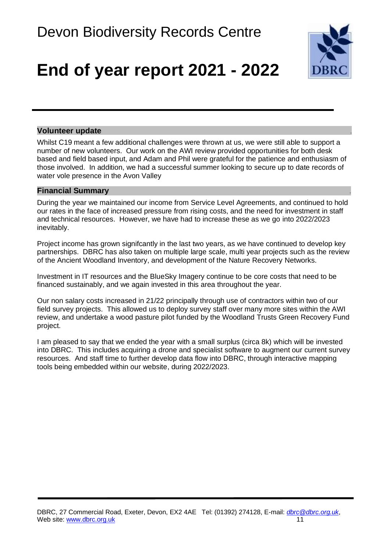

#### **Volunteer update** .

Whilst C19 meant a few additional challenges were thrown at us, we were still able to support a number of new volunteers. Our work on the AWI review provided opportunities for both desk based and field based input, and Adam and Phil were grateful for the patience and enthusiasm of those involved. In addition, we had a successful summer looking to secure up to date records of water vole presence in the Avon Valley

#### **Financial Summary** .

During the year we maintained our income from Service Level Agreements, and continued to hold our rates in the face of increased pressure from rising costs, and the need for investment in staff and technical resources. However, we have had to increase these as we go into 2022/2023 inevitably.

Project income has grown signifcantly in the last two years, as we have continued to develop key partnerships. DBRC has also taken on multiple large scale, multi year projects such as the review of the Ancient Woodland Inventory, and development of the Nature Recovery Networks.

Investment in IT resources and the BlueSky Imagery continue to be core costs that need to be financed sustainably, and we again invested in this area throughout the year.

Our non salary costs increased in 21/22 principally through use of contractors within two of our field survey projects. This allowed us to deploy survey staff over many more sites within the AWI review, and undertake a wood pasture pilot funded by the Woodland Trusts Green Recovery Fund project.

I am pleased to say that we ended the year with a small surplus (circa 8k) which will be invested into DBRC. This includes acquiring a drone and specialist software to augment our current survey resources. And staff time to further develop data flow into DBRC, through interactive mapping tools being embedded within our website, during 2022/2023.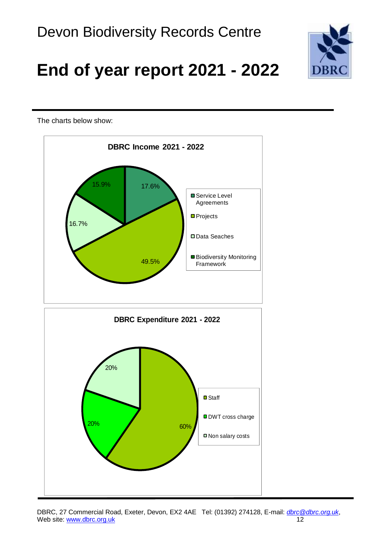

The charts below show:



DBRC, 27 Commercial Road, Exeter, Devon, EX2 4AE Tel: (01392) 274128, E-mail: *[dbrc@dbrc.org.uk](mailto:dbrc@devonwildlifetrust.org)*, Web site: [www.dbrc.org.uk](http://www.dbrc.org.uk/) 12